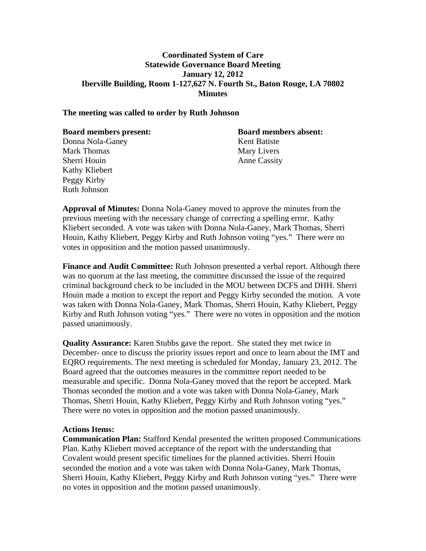# **Coordinated System of Care Statewide Governance Board Meeting January 12, 2012 Iberville Building, Room 1-127,627 N. Fourth St., Baton Rouge, LA 70802 Minutes**

### **The meeting was called to order by Ruth Johnson**

| <b>Board members present:</b> | <b>Board members absent:</b> |
|-------------------------------|------------------------------|
| Donna Nola-Ganey              | Kent Batiste                 |
| <b>Mark Thomas</b>            | Mary Livers                  |
| Sherri Houin                  | <b>Anne Cassity</b>          |
| Kathy Kliebert                |                              |
| Peggy Kirby                   |                              |

**Approval of Minutes:** Donna Nola-Ganey moved to approve the minutes from the previous meeting with the necessary change of correcting a spelling error. Kathy Kliebert seconded. A vote was taken with Donna Nola-Ganey, Mark Thomas, Sherri Houin, Kathy Kliebert, Peggy Kirby and Ruth Johnson voting "yes." There were no votes in opposition and the motion passed unanimously.

**Finance and Audit Committee:** Ruth Johnson presented a verbal report. Although there was no quorum at the last meeting, the committee discussed the issue of the required criminal background check to be included in the MOU between DCFS and DHH. Sherri Houin made a motion to except the report and Peggy Kirby seconded the motion. A vote was taken with Donna Nola-Ganey, Mark Thomas, Sherri Houin, Kathy Kliebert, Peggy Kirby and Ruth Johnson voting "yes." There were no votes in opposition and the motion passed unanimously.

**Quality Assurance:** Karen Stubbs gave the report. She stated they met twice in December- once to discuss the priority issues report and once to learn about the IMT and EQRO requirements. The next meeting is scheduled for Monday, January 23, 2012. The Board agreed that the outcomes measures in the committee report needed to be measurable and specific. Donna Nola-Ganey moved that the report be accepted. Mark Thomas seconded the motion and a vote was taken with Donna Nola-Ganey, Mark Thomas, Sherri Houin, Kathy Kliebert, Peggy Kirby and Ruth Johnson voting "yes." There were no votes in opposition and the motion passed unanimously.

### **Actions Items:**

Ruth Johnson

**Communication Plan:** Stafford Kendal presented the written proposed Communications Plan. Kathy Kliebert moved acceptance of the report with the understanding that Covalent would present specific timelines for the planned activities. Sherri Houin seconded the motion and a vote was taken with Donna Nola-Ganey, Mark Thomas, Sherri Houin, Kathy Kliebert, Peggy Kirby and Ruth Johnson voting "yes." There were no votes in opposition and the motion passed unanimously.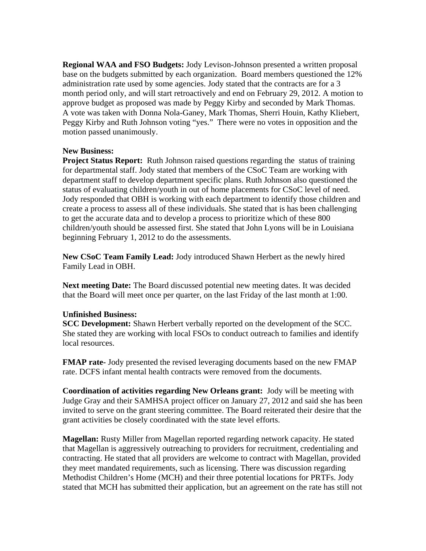**Regional WAA and FSO Budgets:** Jody Levison-Johnson presented a written proposal base on the budgets submitted by each organization. Board members questioned the 12% administration rate used by some agencies. Jody stated that the contracts are for a 3 month period only, and will start retroactively and end on February 29, 2012. A motion to approve budget as proposed was made by Peggy Kirby and seconded by Mark Thomas. A vote was taken with Donna Nola-Ganey, Mark Thomas, Sherri Houin, Kathy Kliebert, Peggy Kirby and Ruth Johnson voting "yes." There were no votes in opposition and the motion passed unanimously.

# **New Business:**

**Project Status Report:** Ruth Johnson raised questions regarding the status of training for departmental staff. Jody stated that members of the CSoC Team are working with department staff to develop department specific plans. Ruth Johnson also questioned the status of evaluating children/youth in out of home placements for CSoC level of need. Jody responded that OBH is working with each department to identify those children and create a process to assess all of these individuals. She stated that is has been challenging to get the accurate data and to develop a process to prioritize which of these 800 children/youth should be assessed first. She stated that John Lyons will be in Louisiana beginning February 1, 2012 to do the assessments.

**New CSoC Team Family Lead:** Jody introduced Shawn Herbert as the newly hired Family Lead in OBH.

**Next meeting Date:** The Board discussed potential new meeting dates. It was decided that the Board will meet once per quarter, on the last Friday of the last month at 1:00.

# **Unfinished Business:**

**SCC Development:** Shawn Herbert verbally reported on the development of the SCC. She stated they are working with local FSOs to conduct outreach to families and identify local resources.

**FMAP rate-** Jody presented the revised leveraging documents based on the new FMAP rate. DCFS infant mental health contracts were removed from the documents.

**Coordination of activities regarding New Orleans grant:** Jody will be meeting with Judge Gray and their SAMHSA project officer on January 27, 2012 and said she has been invited to serve on the grant steering committee. The Board reiterated their desire that the grant activities be closely coordinated with the state level efforts.

**Magellan:** Rusty Miller from Magellan reported regarding network capacity. He stated that Magellan is aggressively outreaching to providers for recruitment, credentialing and contracting. He stated that all providers are welcome to contract with Magellan, provided they meet mandated requirements, such as licensing. There was discussion regarding Methodist Children's Home (MCH) and their three potential locations for PRTFs. Jody stated that MCH has submitted their application, but an agreement on the rate has still not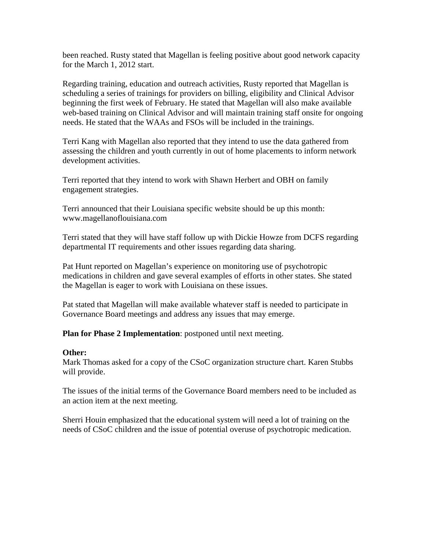been reached. Rusty stated that Magellan is feeling positive about good network capacity for the March 1, 2012 start.

Regarding training, education and outreach activities, Rusty reported that Magellan is scheduling a series of trainings for providers on billing, eligibility and Clinical Advisor beginning the first week of February. He stated that Magellan will also make available web-based training on Clinical Advisor and will maintain training staff onsite for ongoing needs. He stated that the WAAs and FSOs will be included in the trainings.

Terri Kang with Magellan also reported that they intend to use the data gathered from assessing the children and youth currently in out of home placements to inform network development activities.

Terri reported that they intend to work with Shawn Herbert and OBH on family engagement strategies.

Terri announced that their Louisiana specific website should be up this month: www.magellanoflouisiana.com

Terri stated that they will have staff follow up with Dickie Howze from DCFS regarding departmental IT requirements and other issues regarding data sharing.

Pat Hunt reported on Magellan's experience on monitoring use of psychotropic medications in children and gave several examples of efforts in other states. She stated the Magellan is eager to work with Louisiana on these issues.

Pat stated that Magellan will make available whatever staff is needed to participate in Governance Board meetings and address any issues that may emerge.

**Plan for Phase 2 Implementation**: postponed until next meeting.

# **Other:**

Mark Thomas asked for a copy of the CSoC organization structure chart. Karen Stubbs will provide.

The issues of the initial terms of the Governance Board members need to be included as an action item at the next meeting.

Sherri Houin emphasized that the educational system will need a lot of training on the needs of CSoC children and the issue of potential overuse of psychotropic medication.